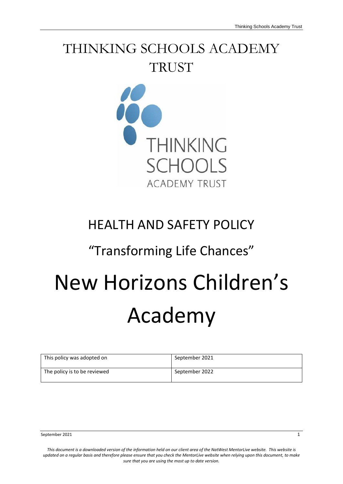# THINKING SCHOOLS ACADEMY **TRUST**



# HEALTH AND SAFETY POLICY

## "Transforming Life Chances"

# New Horizons Children's Academy

| This policy was adopted on   | September 2021 |
|------------------------------|----------------|
| The policy is to be reviewed | September 2022 |

September 2021 1

*This document is a downloaded version of the information held on our client area of the NatWest MentorLive website. This website is updated on a regular basis and therefore please ensure that you check the MentorLive website when relying upon this document, to make sure that you are using the most up to date version.*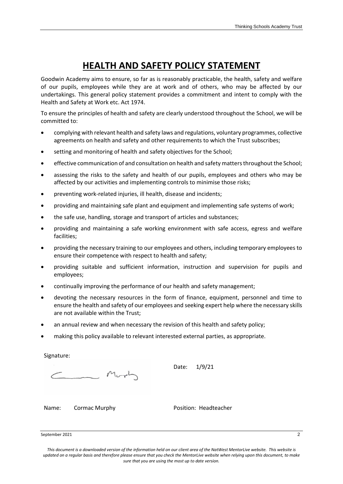## **HEALTH AND SAFETY POLICY STATEMENT**

Goodwin Academy aims to ensure, so far as is reasonably practicable, the health, safety and welfare of our pupils, employees while they are at work and of others, who may be affected by our undertakings. This general policy statement provides a commitment and intent to comply with the Health and Safety at Work etc. Act 1974.

To ensure the principles of health and safety are clearly understood throughout the School, we will be committed to:

- complying with relevant health and safety laws and regulations, voluntary programmes, collective agreements on health and safety and other requirements to which the Trust subscribes;
- setting and monitoring of health and safety objectives for the School;
- effective communication of and consultation on health and safety matters throughout the School;
- assessing the risks to the safety and health of our pupils, employees and others who may be affected by our activities and implementing controls to minimise those risks;
- preventing work-related injuries, ill health, disease and incidents;
- providing and maintaining safe plant and equipment and implementing safe systems of work;
- the safe use, handling, storage and transport of articles and substances;
- providing and maintaining a safe working environment with safe access, egress and welfare facilities;
- providing the necessary training to our employees and others, including temporary employees to ensure their competence with respect to health and safety;
- providing suitable and sufficient information, instruction and supervision for pupils and employees;
- continually improving the performance of our health and safety management;
- devoting the necessary resources in the form of finance, equipment, personnel and time to ensure the health and safety of our employees and seeking expert help where the necessary skills are not available within the Trust;
- an annual review and when necessary the revision of this health and safety policy;
- making this policy available to relevant interested external parties, as appropriate.

Signature:

Mort

Date: 1/9/21

Name: Cormac Murphy Position: Headteacher

September 2021 2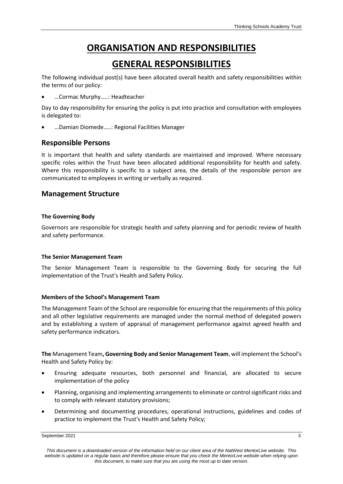## **ORGANISATION AND RESPONSIBILITIES**

### **GENERAL RESPONSIBILITIES**

The following individual post(s) have been allocated overall health and safety responsibilities within the terms of our policy:

• …Cormac Murphy…..: Headteacher

Day to day responsibility for ensuring the policy is put into practice and consultation with employees is delegated to:

• …Damian Diomede…..: Regional Facilities Manager

#### **Responsible Persons**

It is important that health and safety standards are maintained and improved. Where necessary specific roles within the Trust have been allocated additional responsibility for health and safety. Where this responsibility is specific to a subject area, the details of the responsible person are communicated to employees in writing or verbally as required.

#### **Management Structure**

#### **The Governing Body**

Governors are responsible for strategic health and safety planning and for periodic review of health and safety performance.

#### **The Senior Management Team**

The Senior Management Team is responsible to the Governing Body for securing the full implementation of the Trust's Health and Safety Policy.

#### **Members of the School's Management Team**

The Management Team of the School are responsible for ensuring that the requirements of this policy and all other legislative requirements are managed under the normal method of delegated powers and by establishing a system of appraisal of management performance against agreed health and safety performance indicators.

**The** Management Team**, Governing Body and Senior Management Team**, will implement the School's Health and Safety Policy by:

- Ensuring adequate resources, both personnel and financial, are allocated to secure implementation of the policy
- Planning, organising and implementing arrangements to eliminate or control significant risks and to comply with relevant statutory provisions;
- Determining and documenting procedures, operational instructions, guidelines and codes of practice to implement the Trust's Health and Safety Policy;

September 2021 3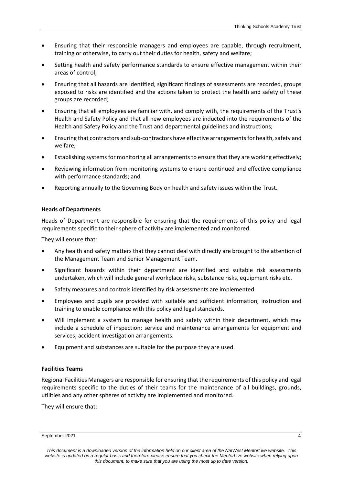- Ensuring that their responsible managers and employees are capable, through recruitment, training or otherwise, to carry out their duties for health, safety and welfare;
- Setting health and safety performance standards to ensure effective management within their areas of control;
- Ensuring that all hazards are identified, significant findings of assessments are recorded, groups exposed to risks are identified and the actions taken to protect the health and safety of these groups are recorded;
- Ensuring that all employees are familiar with, and comply with, the requirements of the Trust's Health and Safety Policy and that all new employees are inducted into the requirements of the Health and Safety Policy and the Trust and departmental guidelines and instructions;
- Ensuring that contractors and sub-contractors have effective arrangements for health, safety and welfare;
- Establishing systems for monitoring all arrangements to ensure that they are working effectively;
- Reviewing information from monitoring systems to ensure continued and effective compliance with performance standards; and
- Reporting annually to the Governing Body on health and safety issues within the Trust.

#### **Heads of Departments**

Heads of Department are responsible for ensuring that the requirements of this policy and legal requirements specific to their sphere of activity are implemented and monitored.

They will ensure that:

- Any health and safety matters that they cannot deal with directly are brought to the attention of the Management Team and Senior Management Team.
- Significant hazards within their department are identified and suitable risk assessments undertaken, which will include general workplace risks, substance risks, equipment risks etc.
- Safety measures and controls identified by risk assessments are implemented.
- Employees and pupils are provided with suitable and sufficient information, instruction and training to enable compliance with this policy and legal standards.
- Will implement a system to manage health and safety within their department, which may include a schedule of inspection; service and maintenance arrangements for equipment and services; accident investigation arrangements.
- Equipment and substances are suitable for the purpose they are used.

#### **Facilities Teams**

Regional Facilities Managers are responsible for ensuring that the requirements of this policy and legal requirements specific to the duties of their teams for the maintenance of all buildings, grounds, utilities and any other spheres of activity are implemented and monitored.

They will ensure that:

September 2021 4

*This document is a downloaded version of the information held on our client area of the NatWest MentorLive website. This website is updated on a regular basis and therefore please ensure that you check the MentorLive website when relying upon this document, to make sure that you are using the most up to date version.*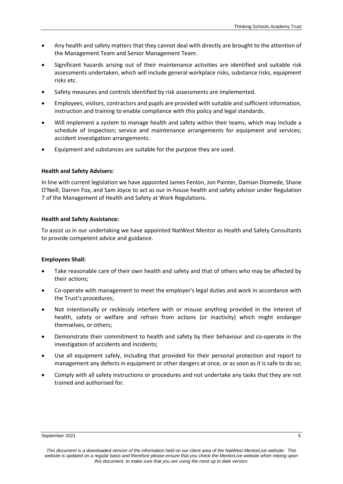- Any health and safety matters that they cannot deal with directly are brought to the attention of the Management Team and Senior Management Team.
- Significant hazards arising out of their maintenance activities are identified and suitable risk assessments undertaken, which will include general workplace risks, substance risks, equipment risks etc.
- Safety measures and controls identified by risk assessments are implemented.
- Employees, visitors, contractors and pupils are provided with suitable and sufficient information, instruction and training to enable compliance with this policy and legal standards.
- Will implement a system to manage health and safety within their teams, which may include a schedule of inspection; service and maintenance arrangements for equipment and services; accident investigation arrangements.
- Equipment and substances are suitable for the purpose they are used.

#### **Health and Safety Advisers:**

In line with current legislation we have appointed James Fenlon, Jon Painter, Damian Diomede, Shane O'Neill, Darren Fox, and Sam Joyce to act as our in-house health and safety advisor under Regulation 7 of the Management of Health and Safety at Work Regulations.

#### **Health and Safety Assistance:**

To assist us in our undertaking we have appointed NatWest Mentor as Health and Safety Consultants to provide competent advice and guidance.

#### **Employees Shall:**

- Take reasonable care of their own health and safety and that of others who may be affected by their actions;
- Co-operate with management to meet the employer's legal duties and work in accordance with the Trust's procedures;
- Not intentionally or recklessly interfere with or misuse anything provided in the interest of health, safety or welfare and refrain from actions (or inactivity) which might endanger themselves, or others;
- Demonstrate their commitment to health and safety by their behaviour and co-operate in the investigation of accidents and incidents;
- Use all equipment safely, including that provided for their personal protection and report to management any defects in equipment or other dangers at once, or as soon as it is safe to do so;
- Comply with all safety instructions or procedures and not undertake any tasks that they are not trained and authorised for.

#### September 2021 5

*This document is a downloaded version of the information held on our client area of the NatWest MentorLive website. This website is updated on a regular basis and therefore please ensure that you check the MentorLive website when relying upon this document, to make sure that you are using the most up to date version.*